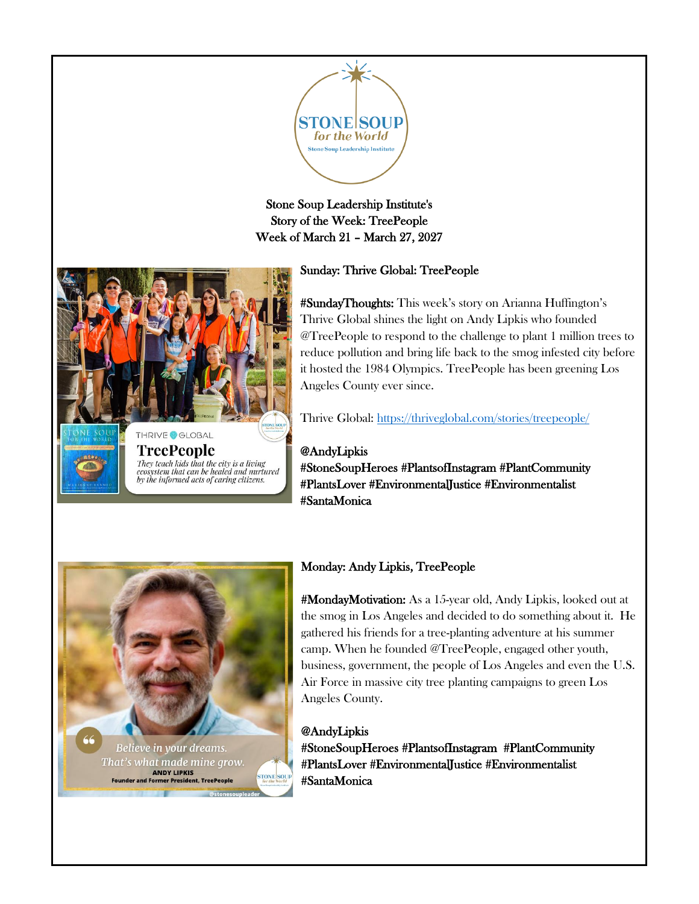

## Stone Soup Leadership Institute's Story of the Week: TreePeople Week of March 21 – March 27, 2027

# Sunday: Thrive Global: TreePeople



#SundayThoughts: This week's story on Arianna Huffington's Thrive Global shines the light on Andy Lipkis who founded @TreePeople to respond to the challenge to plant 1 million trees to reduce pollution and bring life back to the smog infested city before it hosted the 1984 Olympics. TreePeople has been greening Los Angeles County ever since.

Thrive Global: <https://thriveglobal.com/stories/treepeople/>

@AndyLipkis #StoneSoupHeroes #PlantsofInstagram #PlantCommunity #PlantsLover #EnvironmentalJustice #Environmentalist #SantaMonica



## Monday: Andy Lipkis, TreePeople

#MondayMotivation: As a 15-year old, Andy Lipkis, looked out at the smog in Los Angeles and decided to do something about it. He gathered his friends for a tree-planting adventure at his summer camp. When he founded @TreePeople, engaged other youth, business, government, the people of Los Angeles and even the U.S. Air Force in massive city tree planting campaigns to green Los Angeles County.

@AndyLipkis #StoneSoupHeroes #PlantsofInstagram #PlantCommunity #PlantsLover #EnvironmentalJustice #Environmentalist #SantaMonica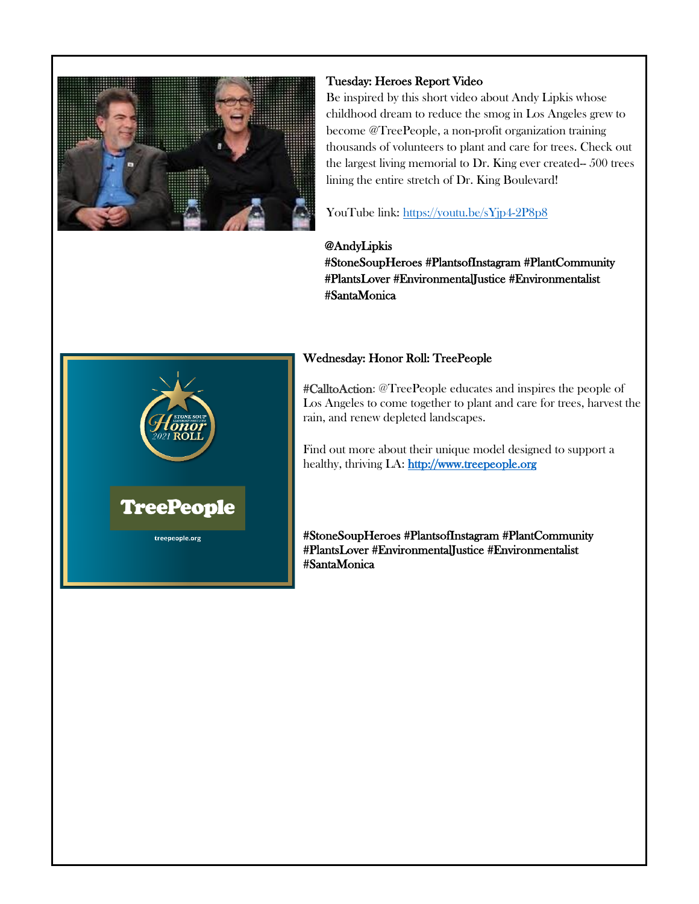

## Tuesday: Heroes Report Video

Be inspired by this short video about Andy Lipkis whose childhood dream to reduce the smog in Los Angeles grew to become @TreePeople, a non-profit organization training thousands of volunteers to plant and care for trees. Check out the largest living memorial to Dr. King ever created-- 500 trees lining the entire stretch of Dr. King Boulevard!

YouTube link: <https://youtu.be/sYjp4-2P8p8>

@AndyLipkis #StoneSoupHeroes #PlantsofInstagram #PlantCommunity #PlantsLover #EnvironmentalJustice #Environmentalist #SantaMonica

### Wednesday: Honor Roll: TreePeople

#CalltoAction: @TreePeople educates and inspires the people of Los Angeles to come together to plant and care for trees, harvest the rain, and renew depleted landscapes.

Find out more about their unique model designed to support a healthy, thriving LA: [http://www.treepeople.org](http://www.treepeople.org/)

#StoneSoupHeroes #PlantsofInstagram #PlantCommunity #PlantsLover #EnvironmentalJustice #Environmentalist #SantaMonica

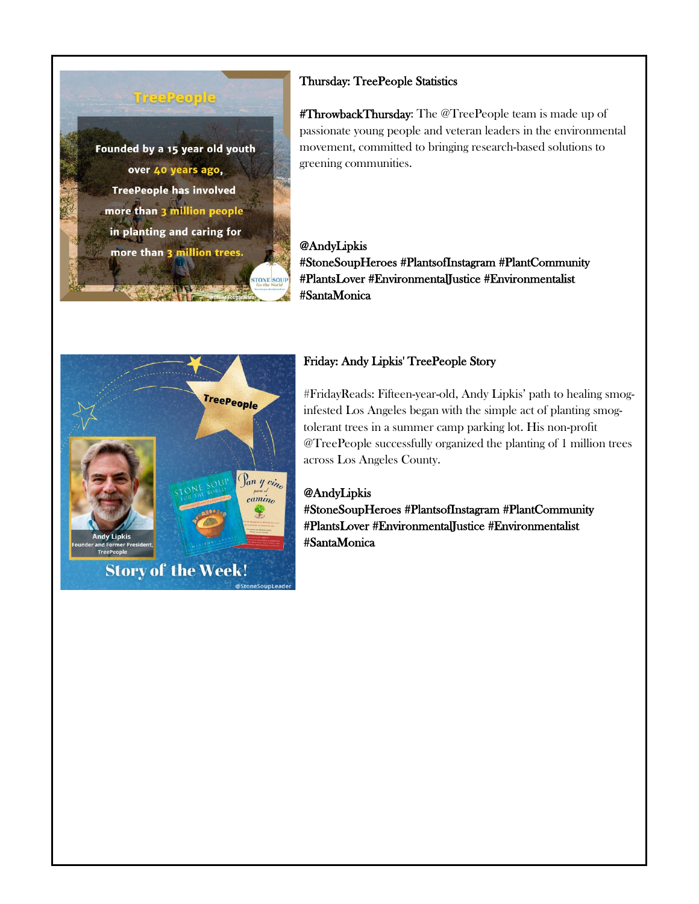

## Thursday: TreePeople Statistics

#ThrowbackThursday: The @TreePeople team is made up of passionate young people and veteran leaders in the environmental movement, committed to bringing research-based solutions to greening communities.

@AndyLipkis #StoneSoupHeroes #PlantsofInstagram #PlantCommunity #PlantsLover #EnvironmentalJustice #Environmentalist #SantaMonica



## Friday: Andy Lipkis' TreePeople Story

#FridayReads: Fifteen-year-old, Andy Lipkis' path to healing smoginfested Los Angeles began with the simple act of planting smogtolerant trees in a summer camp parking lot. His non-profit @TreePeople successfully organized the planting of 1 million trees across Los Angeles County.

#### @AndyLipkis

#StoneSoupHeroes #PlantsofInstagram #PlantCommunity #PlantsLover #EnvironmentalJustice #Environmentalist #SantaMonica